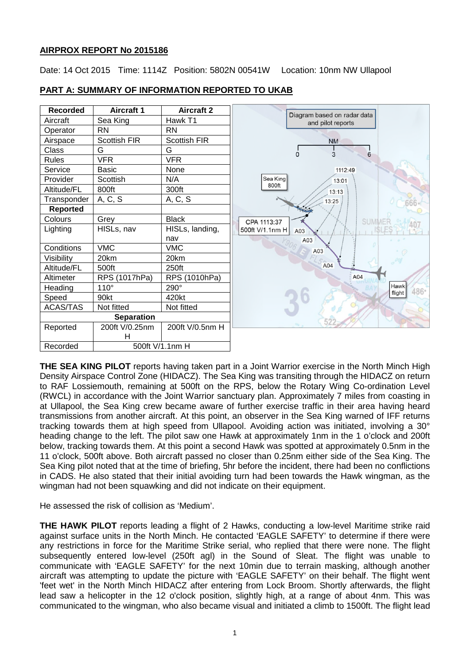# **AIRPROX REPORT No 2015186**

Date: 14 Oct 2015 Time: 1114Z Position: 5802N 00541W Location: 10nm NW Ullapool

#### **Recorded Aircraft 1 Aircraft 2** Diagram based on radar data Aircraft | Sea King | Hawk T1 and pilot reports Operator RN RN Airspace | Scottish FIR | Scottish FIR **NM** Class G G G  $\frac{1}{3}$  $\dot{\cap}$  $\overline{6}$ Rules VFR VFR Service Basic None 1112:49 Provider Scottish IN/A Sea King  $13.01$ 800ft Altitude/FL 800ft | 300ft  $13.13$  $Transport \mid A, C, S$   $\mid A, C, S$ 13:25 **Reported** Colours Grey Black **SUMMER** CPA 1113:37 407 Lighting HISLs, nav HISLs, landing, 500ft V/1.1nm H A03 nav<br>VMC  $AD3$ Conditions VMC VMC  $A<sub>0.3</sub>$ Visibility 20km 20km A04 Altitude/FL 500ft 250ft Altimeter RPS (1017hPa) RPS (1010hPa) A04 Hawk Heading 110° 290° 486 flight Speed 90kt 420kt ACAS/TAS Not fitted Not fitted **Separation** 52 Reported 200ft V/0.25nm 200ft V/0.5nm H H Recorded 500ft V/1.1nm H

# **PART A: SUMMARY OF INFORMATION REPORTED TO UKAB**

**THE SEA KING PILOT** reports having taken part in a Joint Warrior exercise in the North Minch High Density Airspace Control Zone (HIDACZ). The Sea King was transiting through the HIDACZ on return to RAF Lossiemouth, remaining at 500ft on the RPS, below the Rotary Wing Co-ordination Level (RWCL) in accordance with the Joint Warrior sanctuary plan. Approximately 7 miles from coasting in at Ullapool, the Sea King crew became aware of further exercise traffic in their area having heard transmissions from another aircraft. At this point, an observer in the Sea King warned of IFF returns tracking towards them at high speed from Ullapool. Avoiding action was initiated, involving a 30° heading change to the left. The pilot saw one Hawk at approximately 1nm in the 1 o'clock and 200ft below, tracking towards them. At this point a second Hawk was spotted at approximately 0.5nm in the 11 o'clock, 500ft above. Both aircraft passed no closer than 0.25nm either side of the Sea King. The Sea King pilot noted that at the time of briefing, 5hr before the incident, there had been no conflictions in CADS. He also stated that their initial avoiding turn had been towards the Hawk wingman, as the wingman had not been squawking and did not indicate on their equipment.

He assessed the risk of collision as 'Medium'.

**THE HAWK PILOT** reports leading a flight of 2 Hawks, conducting a low-level Maritime strike raid against surface units in the North Minch. He contacted 'EAGLE SAFETY' to determine if there were any restrictions in force for the Maritime Strike serial, who replied that there were none. The flight subsequently entered low-level (250ft agl) in the Sound of Sleat. The flight was unable to communicate with 'EAGLE SAFETY' for the next 10min due to terrain masking, although another aircraft was attempting to update the picture with 'EAGLE SAFETY' on their behalf. The flight went 'feet wet' in the North Minch HIDACZ after entering from Lock Broom. Shortly afterwards, the flight lead saw a helicopter in the 12 o'clock position, slightly high, at a range of about 4nm. This was communicated to the wingman, who also became visual and initiated a climb to 1500ft. The flight lead